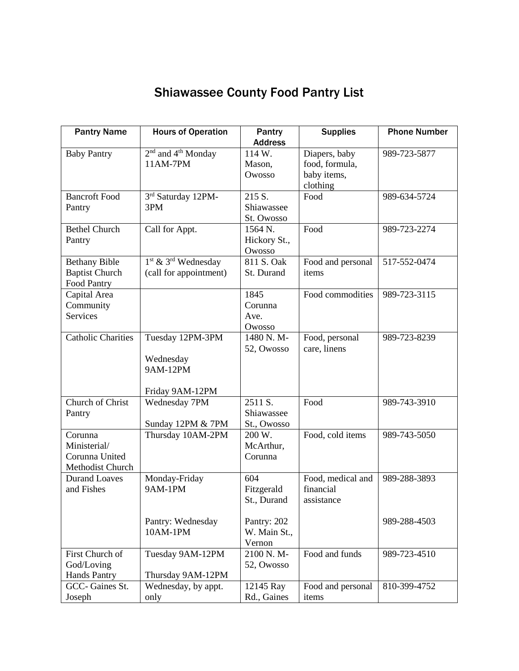## Shiawassee County Food Pantry List

| <b>Pantry Name</b>        | <b>Hours of Operation</b>                  | Pantry         | <b>Supplies</b>   | <b>Phone Number</b> |
|---------------------------|--------------------------------------------|----------------|-------------------|---------------------|
|                           |                                            | <b>Address</b> |                   |                     |
| <b>Baby Pantry</b>        | 2 <sup>nd</sup> and 4 <sup>th</sup> Monday | 114 W.         | Diapers, baby     | 989-723-5877        |
|                           | 11AM-7PM                                   | Mason,         | food, formula,    |                     |
|                           |                                            | Owosso         | baby items,       |                     |
|                           |                                            |                | clothing          |                     |
| <b>Bancroft Food</b>      | 3rd Saturday 12PM-                         | 215 S.         | Food              | 989-634-5724        |
| Pantry                    | 3PM                                        | Shiawassee     |                   |                     |
|                           |                                            | St. Owosso     |                   |                     |
| <b>Bethel Church</b>      | Call for Appt.                             | 1564 N.        | Food              | 989-723-2274        |
| Pantry                    |                                            | Hickory St.,   |                   |                     |
|                           |                                            | Owosso         |                   |                     |
| <b>Bethany Bible</b>      | $1st$ & $3rd$ Wednesday                    | 811 S. Oak     | Food and personal | 517-552-0474        |
| <b>Baptist Church</b>     | (call for appointment)                     | St. Durand     | items             |                     |
| Food Pantry               |                                            |                |                   |                     |
| Capital Area              |                                            | 1845           | Food commodities  | 989-723-3115        |
| Community                 |                                            | Corunna        |                   |                     |
| Services                  |                                            | Ave.           |                   |                     |
|                           |                                            | Owosso         |                   |                     |
| <b>Catholic Charities</b> | Tuesday 12PM-3PM                           | 1480 N.M-      | Food, personal    | 989-723-8239        |
|                           |                                            | 52, Owosso     | care, linens      |                     |
|                           | Wednesday<br>9AM-12PM                      |                |                   |                     |
|                           |                                            |                |                   |                     |
|                           | Friday 9AM-12PM                            |                |                   |                     |
| Church of Christ          | Wednesday 7PM                              | 2511 S.        | Food              | 989-743-3910        |
| Pantry                    |                                            | Shiawassee     |                   |                     |
|                           | Sunday 12PM & 7PM                          | St., Owosso    |                   |                     |
| Corunna                   | Thursday 10AM-2PM                          | 200 W.         | Food, cold items  | 989-743-5050        |
| Ministerial/              |                                            | McArthur,      |                   |                     |
| Corunna United            |                                            | Corunna        |                   |                     |
| Methodist Church          |                                            |                |                   |                     |
| <b>Durand Loaves</b>      | Monday-Friday                              | 604            | Food, medical and | 989-288-3893        |
| and Fishes                | <b>9AM-1PM</b>                             | Fitzgerald     | financial         |                     |
|                           |                                            | St., Durand    | assistance        |                     |
|                           |                                            |                |                   |                     |
|                           | Pantry: Wednesday                          | Pantry: 202    |                   | 989-288-4503        |
|                           | 10AM-1PM                                   | W. Main St.,   |                   |                     |
|                           |                                            | Vernon         |                   |                     |
| First Church of           | Tuesday 9AM-12PM                           | 2100 N.M-      | Food and funds    | 989-723-4510        |
| God/Loving                |                                            | 52, Owosso     |                   |                     |
| <b>Hands Pantry</b>       | Thursday 9AM-12PM                          |                |                   |                     |
| GCC-Gaines St.            | Wednesday, by appt.                        | 12145 Ray      | Food and personal | 810-399-4752        |
| Joseph                    | only                                       | Rd., Gaines    | items             |                     |